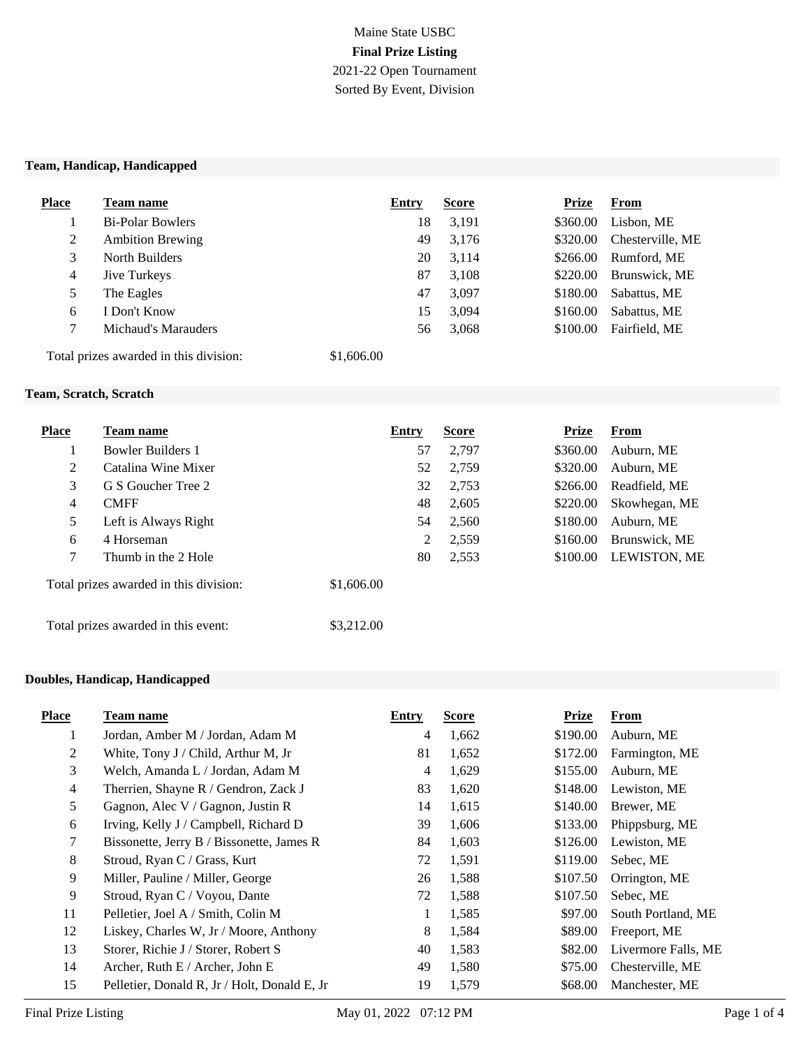# Maine State USBC **Final Prize Listing** 2021-22 Open Tournament Sorted By Event, Division

#### **Team, Handicap, Handicapped**

| <b>Place</b>                           | Team name               | Entry      | <b>Score</b> | <b>Prize</b> | <b>From</b>      |
|----------------------------------------|-------------------------|------------|--------------|--------------|------------------|
|                                        | <b>Bi-Polar Bowlers</b> | 18         | 3,191        | \$360.00     | Lisbon, ME       |
| 2                                      | <b>Ambition Brewing</b> | 49         | 3,176        | \$320.00     | Chesterville, ME |
| 3                                      | North Builders          | 20         | 3.114        | \$266.00     | Rumford, ME      |
| 4                                      | <b>Jive Turkeys</b>     | 87         | 3,108        | \$220.00     | Brunswick, ME    |
| 5                                      | The Eagles              | 47         | 3,097        | \$180.00     | Sabattus, ME     |
| 6                                      | I Don't Know            | 15         | 3,094        | \$160.00     | Sabattus, ME     |
|                                        | Michaud's Marauders     | 56         | 3,068        | \$100.00     | Fairfield, ME    |
| Total prizes awarded in this division: |                         | \$1,606.00 |              |              |                  |

#### **Team, Scratch, Scratch**

| <b>Place</b>                        | <b>Team name</b>                       | Entry      | <b>Score</b> | <b>Prize</b> | From                |
|-------------------------------------|----------------------------------------|------------|--------------|--------------|---------------------|
|                                     | <b>Bowler Builders 1</b>               | 57         | 2.797        | \$360.00     | Auburn, ME          |
| 2                                   | Catalina Wine Mixer                    | 52         | 2.759        | \$320.00     | Auburn, ME          |
| 3                                   | G S Goucher Tree 2                     | 32         | 2,753        | \$266.00     | Readfield, ME       |
| 4                                   | <b>CMFF</b>                            | 48         | 2,605        | \$220.00     | Skowhegan, ME       |
| 5                                   | Left is Always Right                   | 54         | 2,560        | \$180.00     | Auburn, ME          |
| 6                                   | 4 Horseman                             | 2          | 2,559        | \$160.00     | Brunswick, ME       |
| $\tau$                              | Thumb in the 2 Hole                    | 80         | 2,553        | \$100.00     | <b>LEWISTON, ME</b> |
|                                     | Total prizes awarded in this division: | \$1,606.00 |              |              |                     |
| Total prizes awarded in this event: |                                        | \$3,212.00 |              |              |                     |

### **Doubles, Handicap, Handicapped**

| <b>Place</b>   | Team name                                    | Entry | <b>Score</b> | <b>Prize</b> | From                |
|----------------|----------------------------------------------|-------|--------------|--------------|---------------------|
| 1              | Jordan, Amber M / Jordan, Adam M             | 4     | 1,662        | \$190.00     | Auburn, ME          |
| 2              | White, Tony J / Child, Arthur M, Jr          | 81    | 1,652        | \$172.00     | Farmington, ME      |
| 3              | Welch, Amanda L / Jordan, Adam M             | 4     | 1,629        | \$155.00     | Auburn, ME          |
| $\overline{4}$ | Therrien, Shayne R / Gendron, Zack J         | 83    | 1,620        | \$148.00     | Lewiston, ME        |
| 5              | Gagnon, Alec V / Gagnon, Justin R            | 14    | 1,615        | \$140.00     | Brewer, ME          |
| 6              | Irving, Kelly J / Campbell, Richard D        | 39    | 1,606        | \$133.00     | Phippsburg, ME      |
| $\tau$         | Bissonette, Jerry B / Bissonette, James R    | 84    | 1,603        | \$126.00     | Lewiston, ME        |
| 8              | Stroud, Ryan C / Grass, Kurt                 | 72    | 1,591        | \$119.00     | Sebec, ME           |
| 9              | Miller, Pauline / Miller, George             | 26    | 1,588        | \$107.50     | Orrington, ME       |
| 9              | Stroud, Ryan C / Voyou, Dante                | 72    | 1,588        | \$107.50     | Sebec, ME           |
| 11             | Pelletier, Joel A / Smith, Colin M           | 1     | 1,585        | \$97.00      | South Portland, ME  |
| 12             | Liskey, Charles W, Jr / Moore, Anthony       | 8     | 1,584        | \$89.00      | Freeport, ME        |
| 13             | Storer, Richie J / Storer, Robert S          | 40    | 1,583        | \$82.00      | Livermore Falls, ME |
| 14             | Archer, Ruth $E /$ Archer, John E            | 49    | 1,580        | \$75.00      | Chesterville, ME    |
| 15             | Pelletier, Donald R, Jr / Holt, Donald E, Jr | 19    | 1,579        | \$68.00      | Manchester, ME      |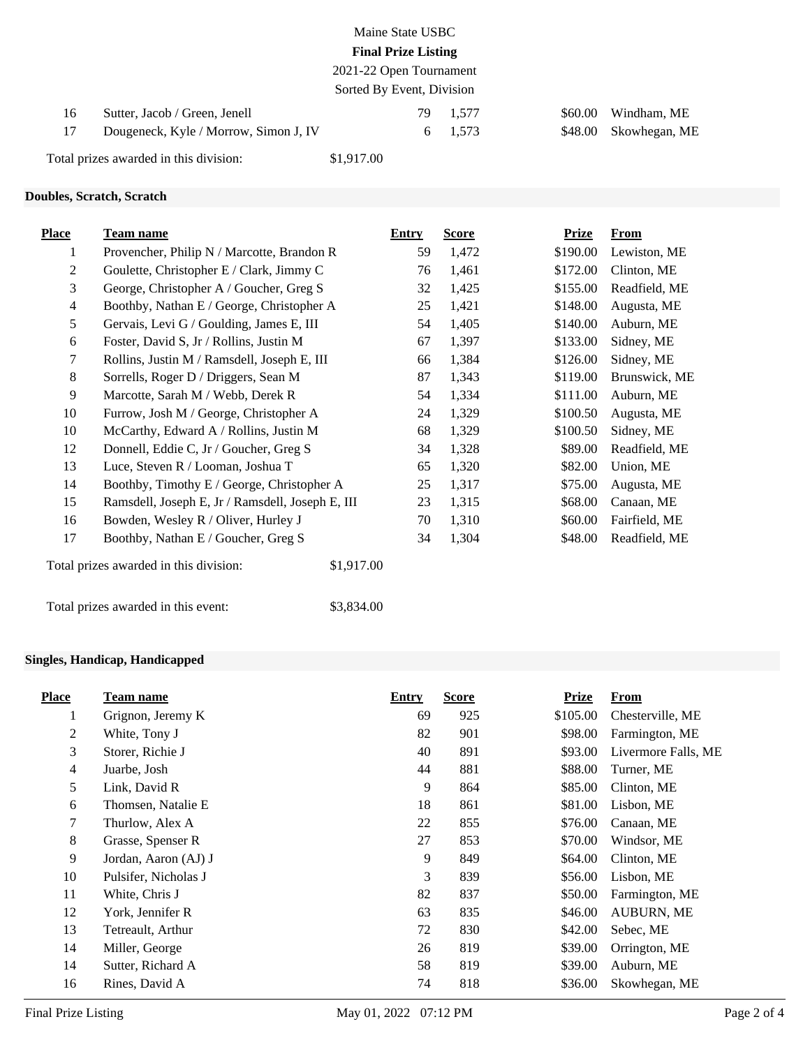| Maine State USBC           |  |
|----------------------------|--|
| <b>Final Prize Listing</b> |  |
|                            |  |

2021-22 Open Tournament Sorted By Event, Division

|    |                                        | $\sigma$   |          |                       |
|----|----------------------------------------|------------|----------|-----------------------|
| 16 | Sutter, Jacob / Green, Jenell          |            | 79 1.577 | \$60.00 Windham, ME   |
|    | Dougeneck, Kyle / Morrow, Simon J, IV  |            | 6 1.573  | \$48.00 Skowhegan, ME |
|    | Total prizes awarded in this division: | \$1,917.00 |          |                       |

# **Doubles, Scratch, Scratch**

| <b>Place</b>   | <b>Team name</b>                                 | <b>Entry</b> |    | <b>Score</b> | <b>Prize</b> | <b>From</b>   |
|----------------|--------------------------------------------------|--------------|----|--------------|--------------|---------------|
| 1              | Provencher, Philip N / Marcotte, Brandon R       |              | 59 | 1,472        | \$190.00     | Lewiston, ME  |
| 2              | Goulette, Christopher E / Clark, Jimmy C         |              | 76 | 1,461        | \$172.00     | Clinton, ME   |
| 3              | George, Christopher A / Goucher, Greg S          |              | 32 | 1,425        | \$155.00     | Readfield, ME |
| $\overline{4}$ | Boothby, Nathan E / George, Christopher A        |              | 25 | 1,421        | \$148.00     | Augusta, ME   |
| 5              | Gervais, Levi G / Goulding, James E, III         |              | 54 | 1,405        | \$140.00     | Auburn, ME    |
| 6              | Foster, David S, Jr / Rollins, Justin M          |              | 67 | 1,397        | \$133.00     | Sidney, ME    |
| 7              | Rollins, Justin M / Ramsdell, Joseph E, III      |              | 66 | 1,384        | \$126.00     | Sidney, ME    |
| 8              | Sorrells, Roger D / Driggers, Sean M             |              | 87 | 1,343        | \$119.00     | Brunswick, ME |
| 9              | Marcotte, Sarah M / Webb, Derek R                |              | 54 | 1,334        | \$111.00     | Auburn, ME    |
| 10             | Furrow, Josh M / George, Christopher A           |              | 24 | 1,329        | \$100.50     | Augusta, ME   |
| 10             | McCarthy, Edward A / Rollins, Justin M           |              | 68 | 1,329        | \$100.50     | Sidney, ME    |
| 12             | Donnell, Eddie C, Jr / Goucher, Greg S           |              | 34 | 1,328        | \$89.00      | Readfield, ME |
| 13             | Luce, Steven R / Looman, Joshua T                |              | 65 | 1,320        | \$82.00      | Union, ME     |
| 14             | Boothby, Timothy E / George, Christopher A       |              | 25 | 1,317        | \$75.00      | Augusta, ME   |
| 15             | Ramsdell, Joseph E, Jr / Ramsdell, Joseph E, III |              | 23 | 1,315        | \$68.00      | Canaan, ME    |
| 16             | Bowden, Wesley R / Oliver, Hurley J              |              | 70 | 1,310        | \$60.00      | Fairfield, ME |
| 17             | Boothby, Nathan E / Goucher, Greg S              |              | 34 | 1,304        | \$48.00      | Readfield, ME |
|                | Total prizes awarded in this division:           | \$1,917.00   |    |              |              |               |
|                | Total prizes awarded in this event:              | \$3,834.00   |    |              |              |               |

### **Singles, Handicap, Handicapped**

| <b>Place</b> | Team name            | Entry | <b>Score</b> | <b>Prize</b> | From                |
|--------------|----------------------|-------|--------------|--------------|---------------------|
| 1            | Grignon, Jeremy K    | 69    | 925          | \$105.00     | Chesterville, ME    |
| 2            | White, Tony J        | 82    | 901          | \$98.00      | Farmington, ME      |
| 3            | Storer, Richie J     | 40    | 891          | \$93.00      | Livermore Falls, ME |
| 4            | Juarbe, Josh         | 44    | 881          | \$88.00      | Turner, ME          |
| 5            | Link, David R        | 9     | 864          | \$85.00      | Clinton, ME         |
| 6            | Thomsen, Natalie E   | 18    | 861          | \$81.00      | Lisbon, ME          |
| 7            | Thurlow, Alex A      | 22    | 855          | \$76.00      | Canaan, ME          |
| $8\,$        | Grasse, Spenser R    | 27    | 853          | \$70.00      | Windsor, ME         |
| 9            | Jordan, Aaron (AJ) J | 9     | 849          | \$64.00      | Clinton, ME         |
| 10           | Pulsifer, Nicholas J | 3     | 839          | \$56.00      | Lisbon, ME          |
| 11           | White, Chris J       | 82    | 837          | \$50.00      | Farmington, ME      |
| 12           | York, Jennifer R     | 63    | 835          | \$46.00      | <b>AUBURN, ME</b>   |
| 13           | Tetreault, Arthur    | 72    | 830          | \$42.00      | Sebec, ME           |
| 14           | Miller, George       | 26    | 819          | \$39.00      | Orrington, ME       |
| 14           | Sutter, Richard A    | 58    | 819          | \$39.00      | Auburn, ME          |
| 16           | Rines, David A       | 74    | 818          | \$36.00      | Skowhegan, ME       |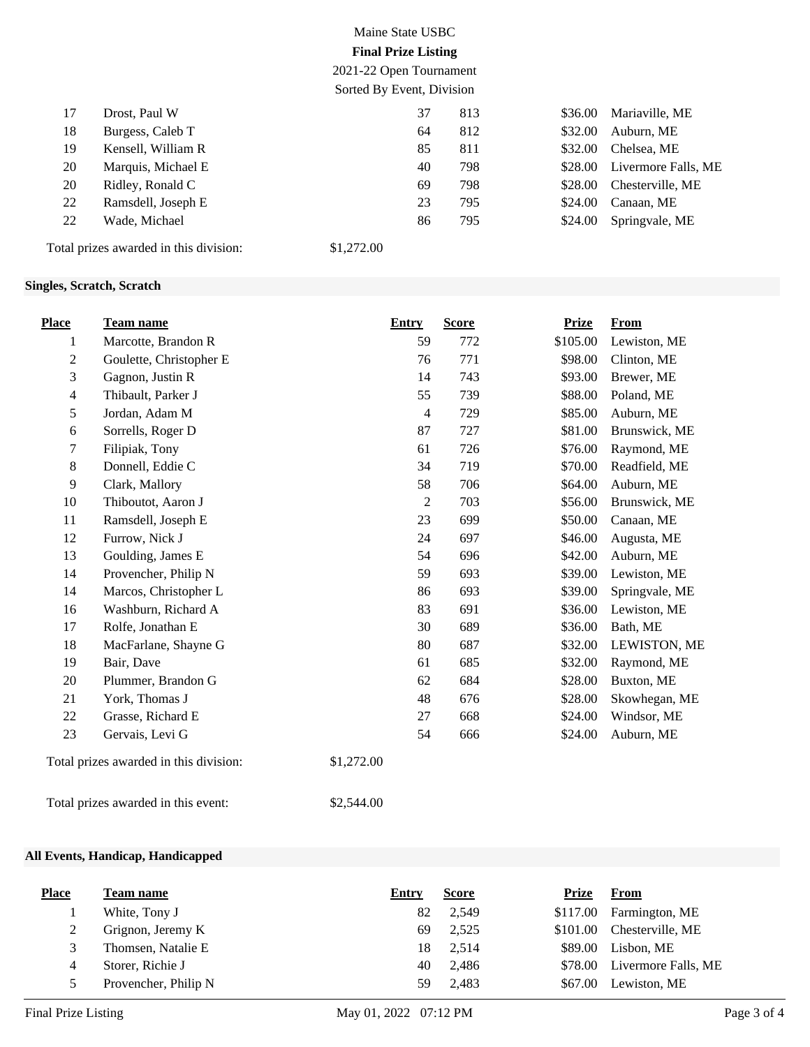# Maine State USBC **Final Prize Listing**

2021-22 Open Tournament

|    | Sorted By Event, Division              |            |     |         |                     |  |  |  |
|----|----------------------------------------|------------|-----|---------|---------------------|--|--|--|
| 17 | Drost, Paul W                          | 37         | 813 | \$36.00 | Mariaville, ME      |  |  |  |
| 18 | Burgess, Caleb T                       | 64         | 812 | \$32.00 | Auburn, ME          |  |  |  |
| 19 | Kensell, William R                     | 85         | 811 | \$32.00 | Chelsea, ME         |  |  |  |
| 20 | Marquis, Michael E                     | 40         | 798 | \$28.00 | Livermore Falls, ME |  |  |  |
| 20 | Ridley, Ronald C                       | 69         | 798 | \$28.00 | Chesterville, ME    |  |  |  |
| 22 | Ramsdell, Joseph E                     | 23         | 795 | \$24.00 | Canaan, ME          |  |  |  |
| 22 | Wade, Michael                          | 86         | 795 | \$24.00 | Springvale, ME      |  |  |  |
|    | Total prizes awarded in this division: | \$1,272.00 |     |         |                     |  |  |  |

## **Singles, Scratch, Scratch**

| <b>Place</b>     | Team name                              | <b>Entry</b> |                | <b>Score</b> | <b>Prize</b> | <b>From</b>    |
|------------------|----------------------------------------|--------------|----------------|--------------|--------------|----------------|
| 1                | Marcotte, Brandon R                    |              | 59             | 772          | \$105.00     | Lewiston, ME   |
| $\boldsymbol{2}$ | Goulette, Christopher E                |              | 76             | 771          | \$98.00      | Clinton, ME    |
| 3                | Gagnon, Justin R                       |              | 14             | 743          | \$93.00      | Brewer, ME     |
| $\overline{4}$   | Thibault, Parker J                     |              | 55             | 739          | \$88.00      | Poland, ME     |
| 5                | Jordan, Adam M                         |              | $\overline{4}$ | 729          | \$85.00      | Auburn, ME     |
| 6                | Sorrells, Roger D                      |              | 87             | 727          | \$81.00      | Brunswick, ME  |
| 7                | Filipiak, Tony                         |              | 61             | 726          | \$76.00      | Raymond, ME    |
| 8                | Donnell, Eddie C                       |              | 34             | 719          | \$70.00      | Readfield, ME  |
| 9                | Clark, Mallory                         |              | 58             | 706          | \$64.00      | Auburn, ME     |
| 10               | Thiboutot, Aaron J                     |              | $\overline{2}$ | 703          | \$56.00      | Brunswick, ME  |
| 11               | Ramsdell, Joseph E                     |              | 23             | 699          | \$50.00      | Canaan, ME     |
| 12               | Furrow, Nick J                         |              | 24             | 697          | \$46.00      | Augusta, ME    |
| 13               | Goulding, James E                      |              | 54             | 696          | \$42.00      | Auburn, ME     |
| 14               | Provencher, Philip N                   |              | 59             | 693          | \$39.00      | Lewiston, ME   |
| 14               | Marcos, Christopher L                  |              | 86             | 693          | \$39.00      | Springvale, ME |
| 16               | Washburn, Richard A                    |              | 83             | 691          | \$36.00      | Lewiston, ME   |
| 17               | Rolfe, Jonathan E                      |              | 30             | 689          | \$36.00      | Bath, ME       |
| 18               | MacFarlane, Shayne G                   |              | 80             | 687          | \$32.00      | LEWISTON, ME   |
| 19               | Bair, Dave                             |              | 61             | 685          | \$32.00      | Raymond, ME    |
| 20               | Plummer, Brandon G                     |              | 62             | 684          | \$28.00      | Buxton, ME     |
| 21               | York, Thomas J                         |              | 48             | 676          | \$28.00      | Skowhegan, ME  |
| 22               | Grasse, Richard E                      |              | 27             | 668          | \$24.00      | Windsor, ME    |
| 23               | Gervais, Levi G                        |              | 54             | 666          | \$24.00      | Auburn, ME     |
|                  | Total prizes awarded in this division: | \$1,272.00   |                |              |              |                |
|                  | Total prizes awarded in this event:    | \$2,544.00   |                |              |              |                |

#### **All Events, Handicap, Handicapped**

| <b>Place</b> | Team name            | Entry | <b>Score</b> | Prize    | From                |
|--------------|----------------------|-------|--------------|----------|---------------------|
|              | White, Tony J        | 82    | 2,549        | \$117.00 | Farmington, ME      |
| ∠            | Grignon, Jeremy K    | 69    | 2,525        | \$101.00 | Chesterville, ME    |
|              | Thomsen, Natalie E   | 18    | 2,514        | \$89.00  | Lisbon, ME          |
|              | Storer, Richie J     | 40    | 2.486        | \$78.00  | Livermore Falls, ME |
|              | Provencher, Philip N | 59    | 2,483        | \$67.00  | Lewiston, ME        |